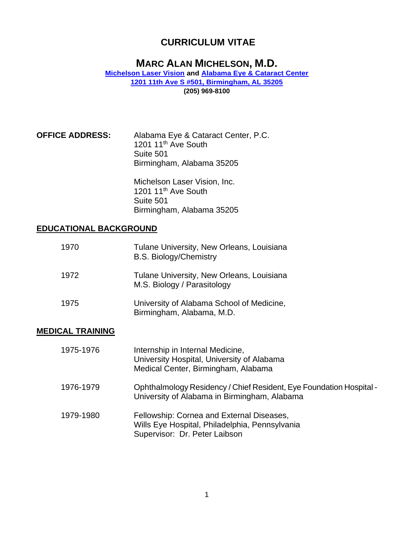# **MARC ALAN MICHELSON, M.D.**

**[Michelson Laser Vision](https://www.michelsonlaservision.com/) and [Alabama Eye & Cataract Center](https://www.alabamacataractcenter.com/) [1201 11th Ave S #501, Birmingham, AL 35205](https://www.google.com/maps?ll=33.494831,-86.80642&z=16&t=m&hl=en&gl=US&mapclient=embed&cid=8797385129605187906) [\(205\) 969-8100](https://www.google.com/search?q=Michelson+Laser+Vision%2C+Inc&rlz=1C1CHBF_enUS893US893&oq=Michelson++Laser+Vision%2C+Inc&aqs=chrome..69i57j46i175i199i512j0i22i30.561j0j4&sourceid=chrome&ie=UTF-8)**

**OFFICE ADDRESS:** Alabama Eye & Cataract Center, P.C. 1201 11<sup>th</sup> Ave South Suite 501 Birmingham, Alabama 35205

> Michelson Laser Vision, Inc. 1201 11<sup>th</sup> Ave South Suite 501 Birmingham, Alabama 35205

#### **EDUCATIONAL BACKGROUND**

| 1970 | Tulane University, New Orleans, Louisiana<br><b>B.S. Biology/Chemistry</b> |
|------|----------------------------------------------------------------------------|
| 1972 | Tulane University, New Orleans, Louisiana<br>M.S. Biology / Parasitology   |
| 1975 | University of Alabama School of Medicine,<br>Birmingham, Alabama, M.D.     |

#### **MEDICAL TRAINING**

| 1975-1976 | Internship in Internal Medicine,<br>University Hospital, University of Alabama<br>Medical Center, Birmingham, Alabama        |
|-----------|------------------------------------------------------------------------------------------------------------------------------|
| 1976-1979 | Ophthalmology Residency / Chief Resident, Eye Foundation Hospital -<br>University of Alabama in Birmingham, Alabama          |
| 1979-1980 | Fellowship: Cornea and External Diseases,<br>Wills Eye Hospital, Philadelphia, Pennsylvania<br>Supervisor: Dr. Peter Laibson |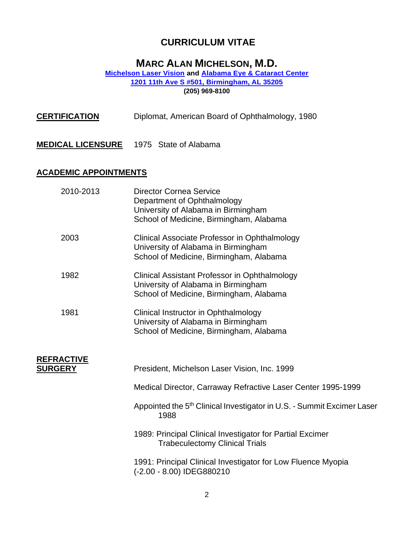# **MARC ALAN MICHELSON, M.D.**

#### **[Michelson Laser Vision](https://www.michelsonlaservision.com/) and [Alabama Eye & Cataract Center](https://www.alabamacataractcenter.com/) [1201 11th Ave S #501, Birmingham, AL 35205](https://www.google.com/maps?ll=33.494831,-86.80642&z=16&t=m&hl=en&gl=US&mapclient=embed&cid=8797385129605187906) [\(205\) 969-8100](https://www.google.com/search?q=Michelson+Laser+Vision%2C+Inc&rlz=1C1CHBF_enUS893US893&oq=Michelson++Laser+Vision%2C+Inc&aqs=chrome..69i57j46i175i199i512j0i22i30.561j0j4&sourceid=chrome&ie=UTF-8)**

| <b>CERTIFICATION</b>                | Diplomat, American Board of Ophthalmology, 1980                                                                                                 |  |
|-------------------------------------|-------------------------------------------------------------------------------------------------------------------------------------------------|--|
| <u>MEDICAL LICENSURE</u>            | 1975 State of Alabama                                                                                                                           |  |
| <u>ACADEMIC APPOINTMENTS</u>        |                                                                                                                                                 |  |
| 2010-2013                           | <b>Director Cornea Service</b><br>Department of Ophthalmology<br>University of Alabama in Birmingham<br>School of Medicine, Birmingham, Alabama |  |
| 2003                                | Clinical Associate Professor in Ophthalmology<br>University of Alabama in Birmingham<br>School of Medicine, Birmingham, Alabama                 |  |
| 1982                                | <b>Clinical Assistant Professor in Ophthalmology</b><br>University of Alabama in Birmingham<br>School of Medicine, Birmingham, Alabama          |  |
| 1981                                | Clinical Instructor in Ophthalmology<br>University of Alabama in Birmingham<br>School of Medicine, Birmingham, Alabama                          |  |
| <b>REFRACTIVE</b><br><u>SURGERY</u> | President, Michelson Laser Vision, Inc. 1999                                                                                                    |  |
|                                     | Medical Director, Carraway Refractive Laser Center 1995-1999                                                                                    |  |
|                                     | Appointed the 5 <sup>th</sup> Clinical Investigator in U.S. - Summit Excimer Laser<br>1988                                                      |  |
|                                     | 1989: Principal Clinical Investigator for Partial Excimer<br><b>Trabeculectomy Clinical Trials</b>                                              |  |
|                                     | 1991: Principal Clinical Investigator for Low Fluence Myopia<br>(-2.00 - 8.00) IDEG880210                                                       |  |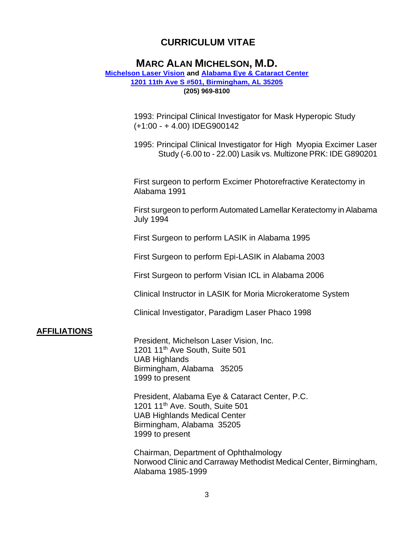## **MARC ALAN MICHELSON, M.D.**

#### **[Michelson Laser Vision](https://www.michelsonlaservision.com/) and [Alabama Eye & Cataract Center](https://www.alabamacataractcenter.com/) [1201 11th Ave S #501, Birmingham, AL 35205](https://www.google.com/maps?ll=33.494831,-86.80642&z=16&t=m&hl=en&gl=US&mapclient=embed&cid=8797385129605187906) [\(205\) 969-8100](https://www.google.com/search?q=Michelson+Laser+Vision%2C+Inc&rlz=1C1CHBF_enUS893US893&oq=Michelson++Laser+Vision%2C+Inc&aqs=chrome..69i57j46i175i199i512j0i22i30.561j0j4&sourceid=chrome&ie=UTF-8)**

1993: Principal Clinical Investigator for Mask Hyperopic Study (+1:00 - + 4.00) IDEG900142

1995: Principal Clinical Investigator for High Myopia Excimer Laser Study (-6.00 to - 22.00) Lasik vs. Multizone PRK: IDE G890201

First surgeon to perform Excimer Photorefractive Keratectomy in Alabama 1991

First surgeon to perform Automated Lamellar Keratectomy in Alabama July 1994

First Surgeon to perform LASIK in Alabama 1995

First Surgeon to perform Epi-LASIK in Alabama 2003

First Surgeon to perform Visian ICL in Alabama 2006

Clinical Instructor in LASIK for Moria Microkeratome System

Clinical Investigator, Paradigm Laser Phaco 1998

#### **AFFILIATIONS**

President, Michelson Laser Vision, Inc. 1201 11th Ave South, Suite 501 UAB Highlands Birmingham, Alabama 35205 1999 to present

President, Alabama Eye & Cataract Center, P.C. 1201 11th Ave. South, Suite 501 UAB Highlands Medical Center Birmingham, Alabama 35205 1999 to present

Chairman, Department of Ophthalmology Norwood Clinic and Carraway Methodist Medical Center, Birmingham, Alabama 1985-1999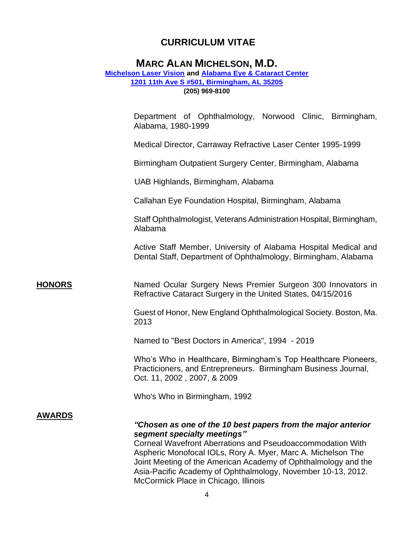## **MARC ALAN MICHELSON, M.D.**

#### **[Michelson Laser Vision](https://www.michelsonlaservision.com/) and [Alabama Eye & Cataract Center](https://www.alabamacataractcenter.com/) [1201 11th Ave S #501, Birmingham, AL 35205](https://www.google.com/maps?ll=33.494831,-86.80642&z=16&t=m&hl=en&gl=US&mapclient=embed&cid=8797385129605187906) [\(205\) 969-8100](https://www.google.com/search?q=Michelson+Laser+Vision%2C+Inc&rlz=1C1CHBF_enUS893US893&oq=Michelson++Laser+Vision%2C+Inc&aqs=chrome..69i57j46i175i199i512j0i22i30.561j0j4&sourceid=chrome&ie=UTF-8)**

Department of Ophthalmology, Norwood Clinic, Birmingham, Alabama, 1980-1999

Medical Director, Carraway Refractive Laser Center 1995-1999

Birmingham Outpatient Surgery Center, Birmingham, Alabama

UAB Highlands, Birmingham, Alabama

Callahan Eye Foundation Hospital, Birmingham, Alabama

Staff Ophthalmologist, Veterans Administration Hospital, Birmingham, Alabama

Active Staff Member, University of Alabama Hospital Medical and Dental Staff, Department of Ophthalmology, Birmingham, Alabama

#### **HONORS** Named Ocular Surgery News Premier Surgeon 300 Innovators in Refractive Cataract Surgery in the United States, 04/15/2016

Guest of Honor, New England Ophthalmological Society. Boston, Ma. 2013

Named to "Best Doctors in America", 1994 - 2019

Who's Who in Healthcare, Birmingham's Top Healthcare Pioneers, Practicioners, and Entrepreneurs. Birmingham Business Journal, Oct. 11, 2002 , 2007, & 2009

Who's Who in Birmingham, 1992

#### **AWARDS**

#### *"Chosen as one of the 10 best papers from the major anterior segment specialty meetings"*

Corneal Wavefront Aberrations and Pseudoaccommodation With Aspheric Monofocal IOLs, Rory A. Myer, Marc A. Michelson The Joint Meeting of the American Academy of Ophthalmology and the Asia-Pacific Academy of Ophthalmology, November 10-13, 2012. McCormick Place in Chicago, Illinois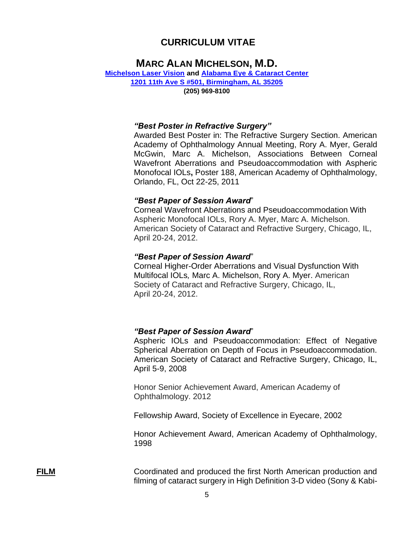### **MARC ALAN MICHELSON, M.D.**

#### **[Michelson Laser Vision](https://www.michelsonlaservision.com/) and [Alabama Eye & Cataract Center](https://www.alabamacataractcenter.com/) [1201 11th Ave S #501, Birmingham, AL 35205](https://www.google.com/maps?ll=33.494831,-86.80642&z=16&t=m&hl=en&gl=US&mapclient=embed&cid=8797385129605187906)**

**[\(205\) 969-8100](https://www.google.com/search?q=Michelson+Laser+Vision%2C+Inc&rlz=1C1CHBF_enUS893US893&oq=Michelson++Laser+Vision%2C+Inc&aqs=chrome..69i57j46i175i199i512j0i22i30.561j0j4&sourceid=chrome&ie=UTF-8)**

#### *"Best Poster in Refractive Surgery"*

Awarded Best Poster in: The Refractive Surgery Section. American Academy of Ophthalmology Annual Meeting, Rory A. Myer, Gerald McGwin, Marc A. Michelson, Associations Between Corneal Wavefront Aberrations and Pseudoaccommodation with Aspheric Monofocal IOLs**,** Poster 188, American Academy of Ophthalmology, Orlando, FL, Oct 22-25, 2011

#### *"Best Paper of Session Award*"

Corneal Wavefront Aberrations and Pseudoaccommodation With Aspheric Monofocal IOLs, Rory A. Myer, Marc A. Michelson. American Society of Cataract and Refractive Surgery, Chicago, IL, April 20-24, 2012.

#### *"Best Paper of Session Award*"

Corneal Higher-Order Aberrations and Visual Dysfunction With Multifocal IOLs*,* Marc A. Michelson, Rory A. Myer. American Society of Cataract and Refractive Surgery, Chicago, IL, April 20-24, 2012.

#### *"Best Paper of Session Award*"

Aspheric IOLs and Pseudoaccommodation: Effect of Negative Spherical Aberration on Depth of Focus in Pseudoaccommodation. American Society of Cataract and Refractive Surgery, Chicago, IL, April 5-9, 2008

Honor Senior Achievement Award, American Academy of Ophthalmology. 2012

Fellowship Award, Society of Excellence in Eyecare, 2002

Honor Achievement Award, American Academy of Ophthalmology, 1998

**FILM** Coordinated and produced the first North American production and filming of cataract surgery in High Definition 3-D video (Sony & Kabi-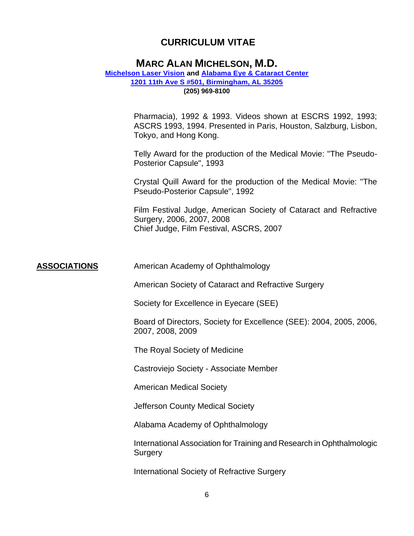### **MARC ALAN MICHELSON, M.D.**

### **[Michelson Laser Vision](https://www.michelsonlaservision.com/) and [Alabama Eye & Cataract Center](https://www.alabamacataractcenter.com/) [1201 11th Ave S #501, Birmingham, AL 35205](https://www.google.com/maps?ll=33.494831,-86.80642&z=16&t=m&hl=en&gl=US&mapclient=embed&cid=8797385129605187906)**

**[\(205\) 969-8100](https://www.google.com/search?q=Michelson+Laser+Vision%2C+Inc&rlz=1C1CHBF_enUS893US893&oq=Michelson++Laser+Vision%2C+Inc&aqs=chrome..69i57j46i175i199i512j0i22i30.561j0j4&sourceid=chrome&ie=UTF-8)**

Pharmacia), 1992 & 1993. Videos shown at ESCRS 1992, 1993; ASCRS 1993, 1994. Presented in Paris, Houston, Salzburg, Lisbon, Tokyo, and Hong Kong.

Telly Award for the production of the Medical Movie: "The Pseudo-Posterior Capsule", 1993

Crystal Quill Award for the production of the Medical Movie: "The Pseudo-Posterior Capsule", 1992

Film Festival Judge, American Society of Cataract and Refractive Surgery, 2006, 2007, 2008 Chief Judge, Film Festival, ASCRS, 2007

**ASSOCIATIONS** American Academy of Ophthalmology

American Society of Cataract and Refractive Surgery

Society for Excellence in Eyecare (SEE)

Board of Directors, Society for Excellence (SEE): 2004, 2005, 2006, 2007, 2008, 2009

The Royal Society of Medicine

Castroviejo Society - Associate Member

American Medical Society

Jefferson County Medical Society

Alabama Academy of Ophthalmology

International Association for Training and Research in Ophthalmologic **Surgery** 

International Society of Refractive Surgery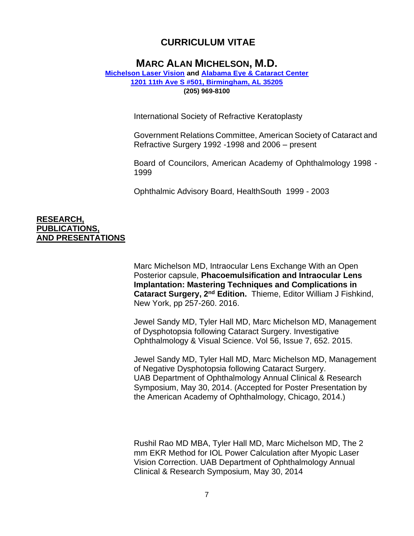## **MARC ALAN MICHELSON, M.D.**

#### **[Michelson Laser Vision](https://www.michelsonlaservision.com/) and [Alabama Eye & Cataract Center](https://www.alabamacataractcenter.com/) [1201 11th Ave S #501, Birmingham, AL 35205](https://www.google.com/maps?ll=33.494831,-86.80642&z=16&t=m&hl=en&gl=US&mapclient=embed&cid=8797385129605187906) [\(205\) 969-8100](https://www.google.com/search?q=Michelson+Laser+Vision%2C+Inc&rlz=1C1CHBF_enUS893US893&oq=Michelson++Laser+Vision%2C+Inc&aqs=chrome..69i57j46i175i199i512j0i22i30.561j0j4&sourceid=chrome&ie=UTF-8)**

International Society of Refractive Keratoplasty

Government Relations Committee, American Society of Cataract and Refractive Surgery 1992 -1998 and 2006 – present

Board of Councilors, American Academy of Ophthalmology 1998 - 1999

Ophthalmic Advisory Board, HealthSouth 1999 - 2003

#### **RESEARCH, PUBLICATIONS, AND PRESENTATIONS**

Marc Michelson MD, Intraocular Lens Exchange With an Open Posterior capsule, **Phacoemulsification and Intraocular Lens Implantation: Mastering Techniques and Complications in Cataract Surgery, 2nd Edition.** Thieme, Editor William J Fishkind, New York, pp 257-260. 2016.

Jewel Sandy MD, Tyler Hall MD, Marc Michelson MD, Management of Dysphotopsia following Cataract Surgery. Investigative Ophthalmology & Visual Science. Vol 56, Issue 7, 652. 2015.

Jewel Sandy MD, Tyler Hall MD, Marc Michelson MD, Management of Negative Dysphotopsia following Cataract Surgery. UAB Department of Ophthalmology Annual Clinical & Research Symposium, May 30, 2014. (Accepted for Poster Presentation by the American Academy of Ophthalmology, Chicago, 2014.)

Rushil Rao MD MBA, Tyler Hall MD, Marc Michelson MD, The 2 mm EKR Method for IOL Power Calculation after Myopic Laser Vision Correction. UAB Department of Ophthalmology Annual Clinical & Research Symposium, May 30, 2014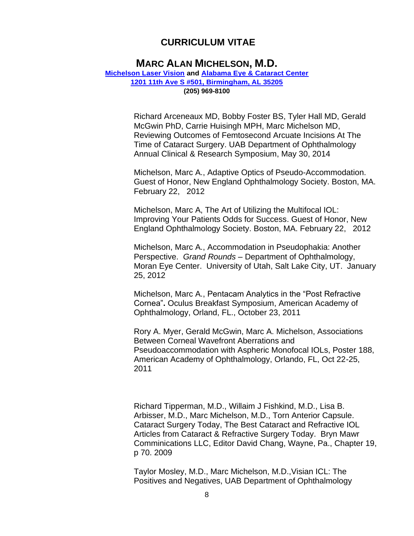### **MARC ALAN MICHELSON, M.D.**

#### **[Michelson Laser Vision](https://www.michelsonlaservision.com/) and [Alabama Eye & Cataract Center](https://www.alabamacataractcenter.com/) [1201 11th Ave S #501, Birmingham, AL 35205](https://www.google.com/maps?ll=33.494831,-86.80642&z=16&t=m&hl=en&gl=US&mapclient=embed&cid=8797385129605187906) [\(205\) 969-8100](https://www.google.com/search?q=Michelson+Laser+Vision%2C+Inc&rlz=1C1CHBF_enUS893US893&oq=Michelson++Laser+Vision%2C+Inc&aqs=chrome..69i57j46i175i199i512j0i22i30.561j0j4&sourceid=chrome&ie=UTF-8)**

Richard Arceneaux MD, Bobby Foster BS, Tyler Hall MD, Gerald McGwin PhD, Carrie Huisingh MPH, Marc Michelson MD, Reviewing Outcomes of Femtosecond Arcuate Incisions At The Time of Cataract Surgery. UAB Department of Ophthalmology Annual Clinical & Research Symposium, May 30, 2014

Michelson, Marc A., Adaptive Optics of Pseudo-Accommodation. Guest of Honor, New England Ophthalmology Society. Boston, MA. February 22, 2012

Michelson, Marc A, The Art of Utilizing the Multifocal IOL: Improving Your Patients Odds for Success. Guest of Honor, New England Ophthalmology Society. Boston, MA. February 22, 2012

Michelson, Marc A., Accommodation in Pseudophakia: Another Perspective. *Grand Rounds* – Department of Ophthalmology, Moran Eye Center. University of Utah, Salt Lake City, UT. January 25, 2012

Michelson, Marc A., Pentacam Analytics in the "Post Refractive Cornea"**.** Oculus Breakfast Symposium, American Academy of Ophthalmology, Orland, FL., October 23, 2011

Rory A. Myer, Gerald McGwin, Marc A. Michelson, Associations Between Corneal Wavefront Aberrations and Pseudoaccommodation with Aspheric Monofocal IOLs, Poster 188, American Academy of Ophthalmology, Orlando, FL, Oct 22-25, 2011

Richard Tipperman, M.D., Willaim J Fishkind, M.D., Lisa B. Arbisser, M.D., Marc Michelson, M.D., Torn Anterior Capsule. Cataract Surgery Today, The Best Cataract and Refractive IOL Articles from Cataract & Refractive Surgery Today. Bryn Mawr Comminications LLC, Editor David Chang, Wayne, Pa., Chapter 19, p 70. 2009

Taylor Mosley, M.D., Marc Michelson, M.D.,Visian ICL: The Positives and Negatives, UAB Department of Ophthalmology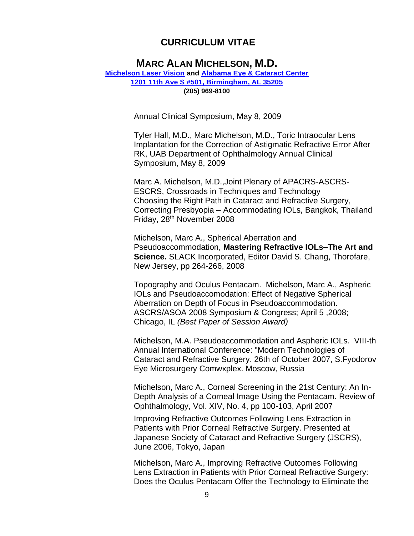# **MARC ALAN MICHELSON, M.D.**

**[Michelson Laser Vision](https://www.michelsonlaservision.com/) and [Alabama Eye & Cataract Center](https://www.alabamacataractcenter.com/) [1201 11th Ave S #501, Birmingham, AL 35205](https://www.google.com/maps?ll=33.494831,-86.80642&z=16&t=m&hl=en&gl=US&mapclient=embed&cid=8797385129605187906) [\(205\) 969-8100](https://www.google.com/search?q=Michelson+Laser+Vision%2C+Inc&rlz=1C1CHBF_enUS893US893&oq=Michelson++Laser+Vision%2C+Inc&aqs=chrome..69i57j46i175i199i512j0i22i30.561j0j4&sourceid=chrome&ie=UTF-8)**

Annual Clinical Symposium, May 8, 2009

Tyler Hall, M.D., Marc Michelson, M.D., Toric Intraocular Lens Implantation for the Correction of Astigmatic Refractive Error After RK, UAB Department of Ophthalmology Annual Clinical Symposium, May 8, 2009

Marc A. Michelson, M.D.,Joint Plenary of APACRS-ASCRS-ESCRS, Crossroads in Techniques and Technology Choosing the Right Path in Cataract and Refractive Surgery, Correcting Presbyopia – Accommodating IOLs, Bangkok, Thailand Friday, 28th November 2008

Michelson, Marc A., Spherical Aberration and Pseudoaccommodation, **Mastering Refractive IOLs–The Art and Science.** SLACK Incorporated, Editor David S. Chang, Thorofare, New Jersey, pp 264-266, 2008

Topography and Oculus Pentacam. Michelson, Marc A., Aspheric IOLs and Pseudoaccomodation: Effect of Negative Spherical Aberration on Depth of Focus in Pseudoaccommodation. ASCRS/ASOA 2008 Symposium & Congress; April 5 ,2008; Chicago, IL *(Best Paper of Session Award)*

Michelson, M.A. Pseudoaccommodation and Aspheric IOLs. VIII-th Annual International Conference: "Modern Technologies of Cataract and Refractive Surgery. 26th of October 2007, S.Fyodorov Eye Microsurgery Comwxplex. Moscow, Russia

Michelson, Marc A., Corneal Screening in the 21st Century: An In-Depth Analysis of a Corneal Image Using the Pentacam. Review of Ophthalmology, Vol. XIV, No. 4, pp 100-103, April 2007

Improving Refractive Outcomes Following Lens Extraction in Patients with Prior Corneal Refractive Surgery. Presented at Japanese Society of Cataract and Refractive Surgery (JSCRS), June 2006, Tokyo, Japan

Michelson, Marc A., Improving Refractive Outcomes Following Lens Extraction in Patients with Prior Corneal Refractive Surgery: Does the Oculus Pentacam Offer the Technology to Eliminate the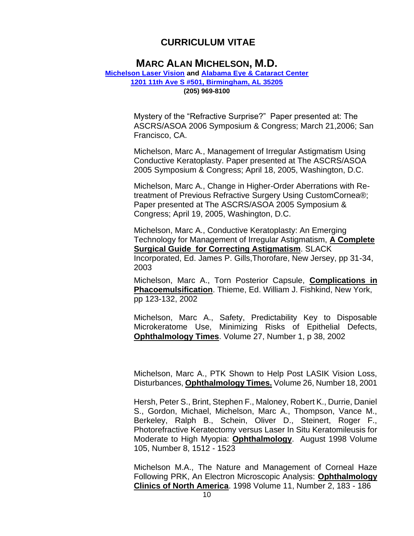## **MARC ALAN MICHELSON, M.D.**

#### **[Michelson Laser Vision](https://www.michelsonlaservision.com/) and [Alabama Eye & Cataract Center](https://www.alabamacataractcenter.com/) [1201 11th Ave S #501, Birmingham, AL 35205](https://www.google.com/maps?ll=33.494831,-86.80642&z=16&t=m&hl=en&gl=US&mapclient=embed&cid=8797385129605187906) [\(205\) 969-8100](https://www.google.com/search?q=Michelson+Laser+Vision%2C+Inc&rlz=1C1CHBF_enUS893US893&oq=Michelson++Laser+Vision%2C+Inc&aqs=chrome..69i57j46i175i199i512j0i22i30.561j0j4&sourceid=chrome&ie=UTF-8)**

Mystery of the "Refractive Surprise?" Paper presented at: The ASCRS/ASOA 2006 Symposium & Congress; March 21,2006; San Francisco, CA.

Michelson, Marc A., Management of Irregular Astigmatism Using Conductive Keratoplasty. Paper presented at The ASCRS/ASOA 2005 Symposium & Congress; April 18, 2005, Washington, D.C.

Michelson, Marc A., Change in Higher-Order Aberrations with Retreatment of Previous Refractive Surgery Using CustomCornea®; Paper presented at The ASCRS/ASOA 2005 Symposium & Congress; April 19, 2005, Washington, D.C.

Michelson, Marc A., Conductive Keratoplasty: An Emerging Technology for Management of Irregular Astigmatism, **A Complete Surgical Guide for Correcting Astigmatism**. SLACK Incorporated, Ed. James P. Gills,Thorofare, New Jersey, pp 31-34, 2003

Michelson, Marc A., Torn Posterior Capsule, **Complications in Phacoemulsification**. Thieme, Ed. William J. Fishkind, New York, pp 123-132, 2002

Michelson, Marc A., Safety, Predictability Key to Disposable Microkeratome Use, Minimizing Risks of Epithelial Defects, **Ophthalmology Times**. Volume 27, Number 1, p 38, 2002

Michelson, Marc A., PTK Shown to Help Post LASIK Vision Loss, Disturbances, **Ophthalmology Times.** Volume 26, Number 18, 2001

Hersh, Peter S., Brint, Stephen F., Maloney, Robert K., Durrie, Daniel S., Gordon, Michael, Michelson, Marc A., Thompson, Vance M., Berkeley, Ralph B., Schein, Oliver D., Steinert, Roger F., Photorefractive Keratectomy versus Laser In Situ Keratomileusis for Moderate to High Myopia: **Ophthalmology**. August 1998 Volume 105, Number 8, 1512 - 1523

Michelson M.A., The Nature and Management of Corneal Haze Following PRK, An Electron Microscopic Analysis: **Ophthalmology Clinics of North America**. 1998 Volume 11, Number 2, 183 - 186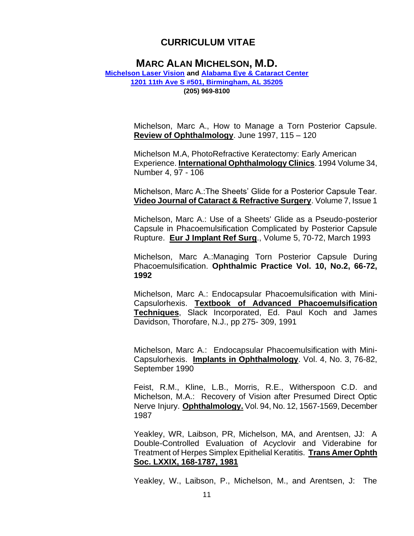### **MARC ALAN MICHELSON, M.D.**

**[Michelson Laser Vision](https://www.michelsonlaservision.com/) and [Alabama Eye & Cataract Center](https://www.alabamacataractcenter.com/) [1201 11th Ave S #501, Birmingham, AL 35205](https://www.google.com/maps?ll=33.494831,-86.80642&z=16&t=m&hl=en&gl=US&mapclient=embed&cid=8797385129605187906) [\(205\) 969-8100](https://www.google.com/search?q=Michelson+Laser+Vision%2C+Inc&rlz=1C1CHBF_enUS893US893&oq=Michelson++Laser+Vision%2C+Inc&aqs=chrome..69i57j46i175i199i512j0i22i30.561j0j4&sourceid=chrome&ie=UTF-8)**

> Michelson, Marc A., How to Manage a Torn Posterior Capsule. **Review of Ophthalmology**. June 1997, 115 – 120

> Michelson M.A, PhotoRefractive Keratectomy: Early American Experience. **International Ophthalmology Clinics**. 1994 Volume 34, Number 4, 97 - 106

> Michelson, Marc A.:The Sheets' Glide for a Posterior Capsule Tear. **Video Journal of Cataract & Refractive Surgery**. Volume 7, Issue 1

> Michelson, Marc A.: Use of a Sheets' Glide as a Pseudo-posterior Capsule in Phacoemulsification Complicated by Posterior Capsule Rupture. **Eur J Implant Ref Surg**., Volume 5, 70-72, March 1993

> Michelson, Marc A.:Managing Torn Posterior Capsule During Phacoemulsification. **Ophthalmic Practice Vol. 10, No.2, 66-72, 1992**

> Michelson, Marc A.: Endocapsular Phacoemulsification with Mini-Capsulorhexis. **Textbook of Advanced Phacoemulsification Techniques**, Slack Incorporated, Ed. Paul Koch and James Davidson, Thorofare, N.J., pp 275- 309, 1991

> Michelson, Marc A.: Endocapsular Phacoemulsification with Mini-Capsulorhexis. **Implants in Ophthalmology**. Vol. 4, No. 3, 76-82, September 1990

> Feist, R.M., Kline, L.B., Morris, R.E., Witherspoon C.D. and Michelson, M.A.: Recovery of Vision after Presumed Direct Optic Nerve Injury. **Ophthalmology.** Vol. 94, No. 12, 1567-1569, December 1987

> Yeakley, WR, Laibson, PR, Michelson, MA, and Arentsen, JJ: A Double-Controlled Evaluation of Acyclovir and Viderabine for Treatment of Herpes Simplex Epithelial Keratitis. **Trans Amer Ophth Soc. LXXIX, 168-1787, 1981**

> Yeakley, W., Laibson, P., Michelson, M., and Arentsen, J: The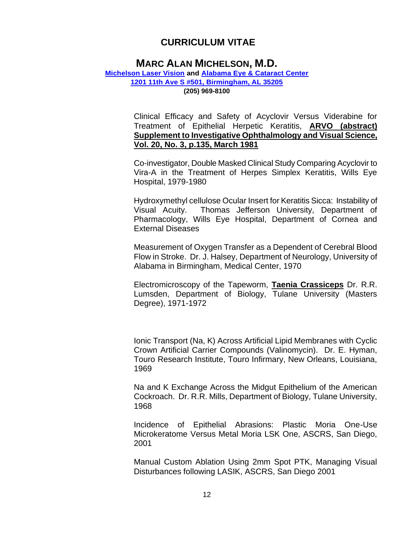## **MARC ALAN MICHELSON, M.D.**

#### **[Michelson Laser Vision](https://www.michelsonlaservision.com/) and [Alabama Eye & Cataract Center](https://www.alabamacataractcenter.com/) [1201 11th Ave S #501, Birmingham, AL 35205](https://www.google.com/maps?ll=33.494831,-86.80642&z=16&t=m&hl=en&gl=US&mapclient=embed&cid=8797385129605187906) [\(205\) 969-8100](https://www.google.com/search?q=Michelson+Laser+Vision%2C+Inc&rlz=1C1CHBF_enUS893US893&oq=Michelson++Laser+Vision%2C+Inc&aqs=chrome..69i57j46i175i199i512j0i22i30.561j0j4&sourceid=chrome&ie=UTF-8)**

Clinical Efficacy and Safety of Acyclovir Versus Viderabine for Treatment of Epithelial Herpetic Keratitis, **ARVO (abstract) Supplement to Investigative Ophthalmology and Visual Science, Vol. 20, No. 3, p.135, March 1981**

Co-investigator, Double Masked Clinical Study Comparing Acyclovir to Vira-A in the Treatment of Herpes Simplex Keratitis, Wills Eye Hospital, 1979-1980

Hydroxymethyl cellulose Ocular Insert for Keratitis Sicca: Instability of Visual Acuity. Thomas Jefferson University, Department of Pharmacology, Wills Eye Hospital, Department of Cornea and External Diseases

Measurement of Oxygen Transfer as a Dependent of Cerebral Blood Flow in Stroke. Dr. J. Halsey, Department of Neurology, University of Alabama in Birmingham, Medical Center, 1970

Electromicroscopy of the Tapeworm, **Taenia Crassiceps** Dr. R.R. Lumsden, Department of Biology, Tulane University (Masters Degree), 1971-1972

Ionic Transport (Na, K) Across Artificial Lipid Membranes with Cyclic Crown Artificial Carrier Compounds (Valinomycin). Dr. E. Hyman, Touro Research Institute, Touro Infirmary, New Orleans, Louisiana, 1969

Na and K Exchange Across the Midgut Epithelium of the American Cockroach. Dr. R.R. Mills, Department of Biology, Tulane University, 1968

Incidence of Epithelial Abrasions: Plastic Moria One-Use Microkeratome Versus Metal Moria LSK One, ASCRS, San Diego, 2001

Manual Custom Ablation Using 2mm Spot PTK, Managing Visual Disturbances following LASIK, ASCRS, San Diego 2001